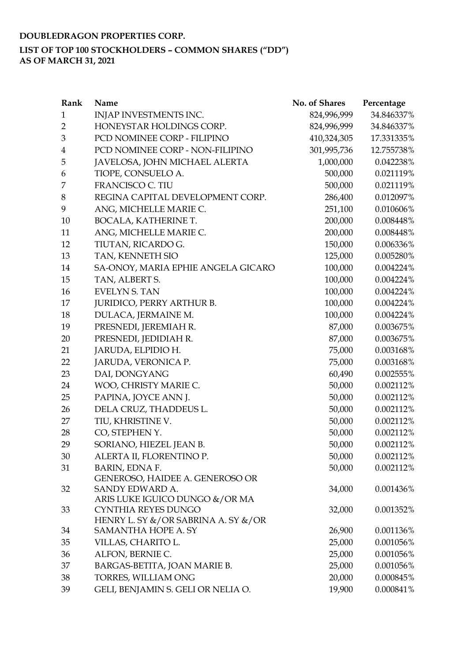## **DOUBLEDRAGON PROPERTIES CORP. LIST OF TOP 100 STOCKHOLDERS – COMMON SHARES ("DD") AS OF MARCH 31, 2021**

| INJAP INVESTMENTS INC.<br>824,996,999<br>34.846337%<br>$\mathbf{1}$<br>$\overline{2}$<br>HONEYSTAR HOLDINGS CORP.<br>34.846337%<br>824,996,999<br>3<br>PCD NOMINEE CORP - FILIPINO<br>410,324,305<br>17.331335%<br>PCD NOMINEE CORP - NON-FILIPINO<br>301,995,736<br>12.755738%<br>4<br>5<br>JAVELOSA, JOHN MICHAEL ALERTA<br>1,000,000<br>0.042238%<br>TIOPE, CONSUELO A.<br>500,000<br>0.021119%<br>6<br>FRANCISCO C. TIU<br>500,000<br>0.021119%<br>7<br>8<br>REGINA CAPITAL DEVELOPMENT CORP.<br>0.012097%<br>286,400<br>9<br>ANG, MICHELLE MARIE C.<br>251,100<br>0.010606%<br>BOCALA, KATHERINE T.<br>200,000<br>0.008448%<br>10<br>ANG, MICHELLE MARIE C.<br>200,000<br>11<br>0.008448%<br>12<br>150,000<br>TIUTAN, RICARDO G.<br>0.006336%<br>13<br>TAN, KENNETH SIO<br>125,000<br>0.005280%<br>SA-ONOY, MARIA EPHIE ANGELA GICARO<br>100,000<br>0.004224%<br>14<br>TAN, ALBERT S.<br>100,000<br>15<br>0.004224%<br>100,000<br>16<br><b>EVELYN S. TAN</b><br>0.004224%<br>17<br><b>JURIDICO, PERRY ARTHUR B.</b><br>100,000<br>0.004224%<br>18<br>DULACA, JERMAINE M.<br>100,000<br>0.004224%<br>19<br>PRESNEDI, JEREMIAH R.<br>87,000<br>0.003675%<br>PRESNEDI, JEDIDIAH R.<br>20<br>87,000<br>0.003675%<br>JARUDA, ELPIDIO H.<br>75,000<br>0.003168%<br>21<br>22<br>75,000<br>0.003168%<br>JARUDA, VERONICA P.<br>DAI, DONGYANG<br>60,490<br>23<br>0.002555%<br>50,000<br>24<br>WOO, CHRISTY MARIE C.<br>0.002112%<br>25<br>PAPINA, JOYCE ANN J.<br>50,000<br>0.002112%<br>DELA CRUZ, THADDEUS L.<br>0.002112%<br>26<br>50,000<br>TIU, KHRISTINE V.<br>50,000<br>0.002112%<br>27<br>28<br>CO, STEPHEN Y.<br>50,000<br>0.002112%<br>29<br>50,000<br>SORIANO, HIEZEL JEAN B.<br>0.002112%<br>ALERTA II, FLORENTINO P.<br>30<br>50,000<br>0.002112%<br>50,000<br>BARIN, EDNA F.<br>0.002112%<br>31<br>GENEROSO, HAIDEE A. GENEROSO OR<br>SANDY EDWARD A.<br>32<br>34,000<br>0.001436%<br>ARIS LUKE IGUICO DUNGO &/OR MA<br>CYNTHIA REYES DUNGO<br>33<br>0.001352%<br>32,000<br>HENRY L. SY &/OR SABRINA A. SY &/OR<br>SAMANTHA HOPE A. SY<br>26,900<br>0.001136%<br>34<br>35<br>VILLAS, CHARITO L.<br>25,000<br>0.001056%<br>ALFON, BERNIE C.<br>25,000<br>0.001056%<br>36<br>BARGAS-BETITA, JOAN MARIE B.<br>25,000<br>0.001056%<br>37<br>TORRES, WILLIAM ONG<br>20,000<br>38<br>0.000845% | Rank | Name | No. of Shares | Percentage |
|----------------------------------------------------------------------------------------------------------------------------------------------------------------------------------------------------------------------------------------------------------------------------------------------------------------------------------------------------------------------------------------------------------------------------------------------------------------------------------------------------------------------------------------------------------------------------------------------------------------------------------------------------------------------------------------------------------------------------------------------------------------------------------------------------------------------------------------------------------------------------------------------------------------------------------------------------------------------------------------------------------------------------------------------------------------------------------------------------------------------------------------------------------------------------------------------------------------------------------------------------------------------------------------------------------------------------------------------------------------------------------------------------------------------------------------------------------------------------------------------------------------------------------------------------------------------------------------------------------------------------------------------------------------------------------------------------------------------------------------------------------------------------------------------------------------------------------------------------------------------------------------------------------------------------------------------------------------------------------------------------------------------------------------------------------------------------------------------------------------------------------------------------------------------------------------------------------------------------------------------------------------------------------------------------|------|------|---------------|------------|
|                                                                                                                                                                                                                                                                                                                                                                                                                                                                                                                                                                                                                                                                                                                                                                                                                                                                                                                                                                                                                                                                                                                                                                                                                                                                                                                                                                                                                                                                                                                                                                                                                                                                                                                                                                                                                                                                                                                                                                                                                                                                                                                                                                                                                                                                                                    |      |      |               |            |
|                                                                                                                                                                                                                                                                                                                                                                                                                                                                                                                                                                                                                                                                                                                                                                                                                                                                                                                                                                                                                                                                                                                                                                                                                                                                                                                                                                                                                                                                                                                                                                                                                                                                                                                                                                                                                                                                                                                                                                                                                                                                                                                                                                                                                                                                                                    |      |      |               |            |
|                                                                                                                                                                                                                                                                                                                                                                                                                                                                                                                                                                                                                                                                                                                                                                                                                                                                                                                                                                                                                                                                                                                                                                                                                                                                                                                                                                                                                                                                                                                                                                                                                                                                                                                                                                                                                                                                                                                                                                                                                                                                                                                                                                                                                                                                                                    |      |      |               |            |
|                                                                                                                                                                                                                                                                                                                                                                                                                                                                                                                                                                                                                                                                                                                                                                                                                                                                                                                                                                                                                                                                                                                                                                                                                                                                                                                                                                                                                                                                                                                                                                                                                                                                                                                                                                                                                                                                                                                                                                                                                                                                                                                                                                                                                                                                                                    |      |      |               |            |
|                                                                                                                                                                                                                                                                                                                                                                                                                                                                                                                                                                                                                                                                                                                                                                                                                                                                                                                                                                                                                                                                                                                                                                                                                                                                                                                                                                                                                                                                                                                                                                                                                                                                                                                                                                                                                                                                                                                                                                                                                                                                                                                                                                                                                                                                                                    |      |      |               |            |
|                                                                                                                                                                                                                                                                                                                                                                                                                                                                                                                                                                                                                                                                                                                                                                                                                                                                                                                                                                                                                                                                                                                                                                                                                                                                                                                                                                                                                                                                                                                                                                                                                                                                                                                                                                                                                                                                                                                                                                                                                                                                                                                                                                                                                                                                                                    |      |      |               |            |
|                                                                                                                                                                                                                                                                                                                                                                                                                                                                                                                                                                                                                                                                                                                                                                                                                                                                                                                                                                                                                                                                                                                                                                                                                                                                                                                                                                                                                                                                                                                                                                                                                                                                                                                                                                                                                                                                                                                                                                                                                                                                                                                                                                                                                                                                                                    |      |      |               |            |
|                                                                                                                                                                                                                                                                                                                                                                                                                                                                                                                                                                                                                                                                                                                                                                                                                                                                                                                                                                                                                                                                                                                                                                                                                                                                                                                                                                                                                                                                                                                                                                                                                                                                                                                                                                                                                                                                                                                                                                                                                                                                                                                                                                                                                                                                                                    |      |      |               |            |
|                                                                                                                                                                                                                                                                                                                                                                                                                                                                                                                                                                                                                                                                                                                                                                                                                                                                                                                                                                                                                                                                                                                                                                                                                                                                                                                                                                                                                                                                                                                                                                                                                                                                                                                                                                                                                                                                                                                                                                                                                                                                                                                                                                                                                                                                                                    |      |      |               |            |
|                                                                                                                                                                                                                                                                                                                                                                                                                                                                                                                                                                                                                                                                                                                                                                                                                                                                                                                                                                                                                                                                                                                                                                                                                                                                                                                                                                                                                                                                                                                                                                                                                                                                                                                                                                                                                                                                                                                                                                                                                                                                                                                                                                                                                                                                                                    |      |      |               |            |
|                                                                                                                                                                                                                                                                                                                                                                                                                                                                                                                                                                                                                                                                                                                                                                                                                                                                                                                                                                                                                                                                                                                                                                                                                                                                                                                                                                                                                                                                                                                                                                                                                                                                                                                                                                                                                                                                                                                                                                                                                                                                                                                                                                                                                                                                                                    |      |      |               |            |
|                                                                                                                                                                                                                                                                                                                                                                                                                                                                                                                                                                                                                                                                                                                                                                                                                                                                                                                                                                                                                                                                                                                                                                                                                                                                                                                                                                                                                                                                                                                                                                                                                                                                                                                                                                                                                                                                                                                                                                                                                                                                                                                                                                                                                                                                                                    |      |      |               |            |
|                                                                                                                                                                                                                                                                                                                                                                                                                                                                                                                                                                                                                                                                                                                                                                                                                                                                                                                                                                                                                                                                                                                                                                                                                                                                                                                                                                                                                                                                                                                                                                                                                                                                                                                                                                                                                                                                                                                                                                                                                                                                                                                                                                                                                                                                                                    |      |      |               |            |
|                                                                                                                                                                                                                                                                                                                                                                                                                                                                                                                                                                                                                                                                                                                                                                                                                                                                                                                                                                                                                                                                                                                                                                                                                                                                                                                                                                                                                                                                                                                                                                                                                                                                                                                                                                                                                                                                                                                                                                                                                                                                                                                                                                                                                                                                                                    |      |      |               |            |
|                                                                                                                                                                                                                                                                                                                                                                                                                                                                                                                                                                                                                                                                                                                                                                                                                                                                                                                                                                                                                                                                                                                                                                                                                                                                                                                                                                                                                                                                                                                                                                                                                                                                                                                                                                                                                                                                                                                                                                                                                                                                                                                                                                                                                                                                                                    |      |      |               |            |
|                                                                                                                                                                                                                                                                                                                                                                                                                                                                                                                                                                                                                                                                                                                                                                                                                                                                                                                                                                                                                                                                                                                                                                                                                                                                                                                                                                                                                                                                                                                                                                                                                                                                                                                                                                                                                                                                                                                                                                                                                                                                                                                                                                                                                                                                                                    |      |      |               |            |
|                                                                                                                                                                                                                                                                                                                                                                                                                                                                                                                                                                                                                                                                                                                                                                                                                                                                                                                                                                                                                                                                                                                                                                                                                                                                                                                                                                                                                                                                                                                                                                                                                                                                                                                                                                                                                                                                                                                                                                                                                                                                                                                                                                                                                                                                                                    |      |      |               |            |
|                                                                                                                                                                                                                                                                                                                                                                                                                                                                                                                                                                                                                                                                                                                                                                                                                                                                                                                                                                                                                                                                                                                                                                                                                                                                                                                                                                                                                                                                                                                                                                                                                                                                                                                                                                                                                                                                                                                                                                                                                                                                                                                                                                                                                                                                                                    |      |      |               |            |
|                                                                                                                                                                                                                                                                                                                                                                                                                                                                                                                                                                                                                                                                                                                                                                                                                                                                                                                                                                                                                                                                                                                                                                                                                                                                                                                                                                                                                                                                                                                                                                                                                                                                                                                                                                                                                                                                                                                                                                                                                                                                                                                                                                                                                                                                                                    |      |      |               |            |
|                                                                                                                                                                                                                                                                                                                                                                                                                                                                                                                                                                                                                                                                                                                                                                                                                                                                                                                                                                                                                                                                                                                                                                                                                                                                                                                                                                                                                                                                                                                                                                                                                                                                                                                                                                                                                                                                                                                                                                                                                                                                                                                                                                                                                                                                                                    |      |      |               |            |
|                                                                                                                                                                                                                                                                                                                                                                                                                                                                                                                                                                                                                                                                                                                                                                                                                                                                                                                                                                                                                                                                                                                                                                                                                                                                                                                                                                                                                                                                                                                                                                                                                                                                                                                                                                                                                                                                                                                                                                                                                                                                                                                                                                                                                                                                                                    |      |      |               |            |
|                                                                                                                                                                                                                                                                                                                                                                                                                                                                                                                                                                                                                                                                                                                                                                                                                                                                                                                                                                                                                                                                                                                                                                                                                                                                                                                                                                                                                                                                                                                                                                                                                                                                                                                                                                                                                                                                                                                                                                                                                                                                                                                                                                                                                                                                                                    |      |      |               |            |
|                                                                                                                                                                                                                                                                                                                                                                                                                                                                                                                                                                                                                                                                                                                                                                                                                                                                                                                                                                                                                                                                                                                                                                                                                                                                                                                                                                                                                                                                                                                                                                                                                                                                                                                                                                                                                                                                                                                                                                                                                                                                                                                                                                                                                                                                                                    |      |      |               |            |
|                                                                                                                                                                                                                                                                                                                                                                                                                                                                                                                                                                                                                                                                                                                                                                                                                                                                                                                                                                                                                                                                                                                                                                                                                                                                                                                                                                                                                                                                                                                                                                                                                                                                                                                                                                                                                                                                                                                                                                                                                                                                                                                                                                                                                                                                                                    |      |      |               |            |
|                                                                                                                                                                                                                                                                                                                                                                                                                                                                                                                                                                                                                                                                                                                                                                                                                                                                                                                                                                                                                                                                                                                                                                                                                                                                                                                                                                                                                                                                                                                                                                                                                                                                                                                                                                                                                                                                                                                                                                                                                                                                                                                                                                                                                                                                                                    |      |      |               |            |
|                                                                                                                                                                                                                                                                                                                                                                                                                                                                                                                                                                                                                                                                                                                                                                                                                                                                                                                                                                                                                                                                                                                                                                                                                                                                                                                                                                                                                                                                                                                                                                                                                                                                                                                                                                                                                                                                                                                                                                                                                                                                                                                                                                                                                                                                                                    |      |      |               |            |
|                                                                                                                                                                                                                                                                                                                                                                                                                                                                                                                                                                                                                                                                                                                                                                                                                                                                                                                                                                                                                                                                                                                                                                                                                                                                                                                                                                                                                                                                                                                                                                                                                                                                                                                                                                                                                                                                                                                                                                                                                                                                                                                                                                                                                                                                                                    |      |      |               |            |
|                                                                                                                                                                                                                                                                                                                                                                                                                                                                                                                                                                                                                                                                                                                                                                                                                                                                                                                                                                                                                                                                                                                                                                                                                                                                                                                                                                                                                                                                                                                                                                                                                                                                                                                                                                                                                                                                                                                                                                                                                                                                                                                                                                                                                                                                                                    |      |      |               |            |
|                                                                                                                                                                                                                                                                                                                                                                                                                                                                                                                                                                                                                                                                                                                                                                                                                                                                                                                                                                                                                                                                                                                                                                                                                                                                                                                                                                                                                                                                                                                                                                                                                                                                                                                                                                                                                                                                                                                                                                                                                                                                                                                                                                                                                                                                                                    |      |      |               |            |
|                                                                                                                                                                                                                                                                                                                                                                                                                                                                                                                                                                                                                                                                                                                                                                                                                                                                                                                                                                                                                                                                                                                                                                                                                                                                                                                                                                                                                                                                                                                                                                                                                                                                                                                                                                                                                                                                                                                                                                                                                                                                                                                                                                                                                                                                                                    |      |      |               |            |
|                                                                                                                                                                                                                                                                                                                                                                                                                                                                                                                                                                                                                                                                                                                                                                                                                                                                                                                                                                                                                                                                                                                                                                                                                                                                                                                                                                                                                                                                                                                                                                                                                                                                                                                                                                                                                                                                                                                                                                                                                                                                                                                                                                                                                                                                                                    |      |      |               |            |
|                                                                                                                                                                                                                                                                                                                                                                                                                                                                                                                                                                                                                                                                                                                                                                                                                                                                                                                                                                                                                                                                                                                                                                                                                                                                                                                                                                                                                                                                                                                                                                                                                                                                                                                                                                                                                                                                                                                                                                                                                                                                                                                                                                                                                                                                                                    |      |      |               |            |
|                                                                                                                                                                                                                                                                                                                                                                                                                                                                                                                                                                                                                                                                                                                                                                                                                                                                                                                                                                                                                                                                                                                                                                                                                                                                                                                                                                                                                                                                                                                                                                                                                                                                                                                                                                                                                                                                                                                                                                                                                                                                                                                                                                                                                                                                                                    |      |      |               |            |
|                                                                                                                                                                                                                                                                                                                                                                                                                                                                                                                                                                                                                                                                                                                                                                                                                                                                                                                                                                                                                                                                                                                                                                                                                                                                                                                                                                                                                                                                                                                                                                                                                                                                                                                                                                                                                                                                                                                                                                                                                                                                                                                                                                                                                                                                                                    |      |      |               |            |
|                                                                                                                                                                                                                                                                                                                                                                                                                                                                                                                                                                                                                                                                                                                                                                                                                                                                                                                                                                                                                                                                                                                                                                                                                                                                                                                                                                                                                                                                                                                                                                                                                                                                                                                                                                                                                                                                                                                                                                                                                                                                                                                                                                                                                                                                                                    |      |      |               |            |
|                                                                                                                                                                                                                                                                                                                                                                                                                                                                                                                                                                                                                                                                                                                                                                                                                                                                                                                                                                                                                                                                                                                                                                                                                                                                                                                                                                                                                                                                                                                                                                                                                                                                                                                                                                                                                                                                                                                                                                                                                                                                                                                                                                                                                                                                                                    |      |      |               |            |
|                                                                                                                                                                                                                                                                                                                                                                                                                                                                                                                                                                                                                                                                                                                                                                                                                                                                                                                                                                                                                                                                                                                                                                                                                                                                                                                                                                                                                                                                                                                                                                                                                                                                                                                                                                                                                                                                                                                                                                                                                                                                                                                                                                                                                                                                                                    |      |      |               |            |
|                                                                                                                                                                                                                                                                                                                                                                                                                                                                                                                                                                                                                                                                                                                                                                                                                                                                                                                                                                                                                                                                                                                                                                                                                                                                                                                                                                                                                                                                                                                                                                                                                                                                                                                                                                                                                                                                                                                                                                                                                                                                                                                                                                                                                                                                                                    |      |      |               |            |
|                                                                                                                                                                                                                                                                                                                                                                                                                                                                                                                                                                                                                                                                                                                                                                                                                                                                                                                                                                                                                                                                                                                                                                                                                                                                                                                                                                                                                                                                                                                                                                                                                                                                                                                                                                                                                                                                                                                                                                                                                                                                                                                                                                                                                                                                                                    |      |      |               |            |
|                                                                                                                                                                                                                                                                                                                                                                                                                                                                                                                                                                                                                                                                                                                                                                                                                                                                                                                                                                                                                                                                                                                                                                                                                                                                                                                                                                                                                                                                                                                                                                                                                                                                                                                                                                                                                                                                                                                                                                                                                                                                                                                                                                                                                                                                                                    |      |      |               |            |
| GELI, BENJAMIN S. GELI OR NELIA O.<br>19,900<br>39<br>0.000841%                                                                                                                                                                                                                                                                                                                                                                                                                                                                                                                                                                                                                                                                                                                                                                                                                                                                                                                                                                                                                                                                                                                                                                                                                                                                                                                                                                                                                                                                                                                                                                                                                                                                                                                                                                                                                                                                                                                                                                                                                                                                                                                                                                                                                                    |      |      |               |            |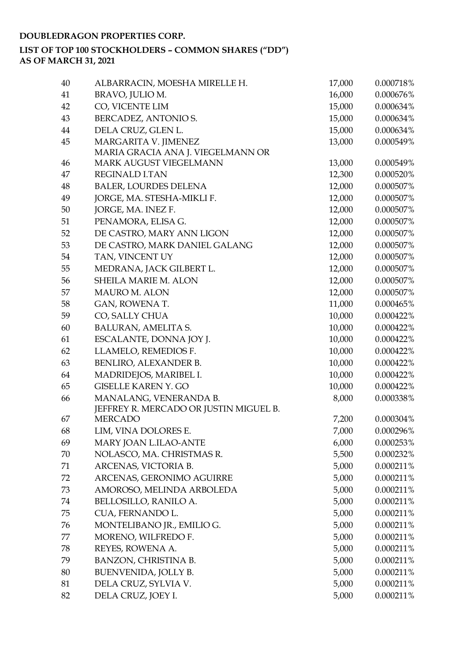### **DOUBLEDRAGON PROPERTIES CORP.**

### **LIST OF TOP 100 STOCKHOLDERS – COMMON SHARES ("DD") AS OF MARCH 31, 2021**

| 40 | ALBARRACIN, MOESHA MIRELLE H.          | 17,000 | 0.000718% |
|----|----------------------------------------|--------|-----------|
| 41 | BRAVO, JULIO M.                        | 16,000 | 0.000676% |
| 42 | CO, VICENTE LIM                        | 15,000 | 0.000634% |
| 43 | BERCADEZ, ANTONIO S.                   | 15,000 | 0.000634% |
| 44 | DELA CRUZ, GLEN L.                     | 15,000 | 0.000634% |
| 45 | MARGARITA V. JIMENEZ                   | 13,000 | 0.000549% |
|    | MARIA GRACIA ANA J. VIEGELMANN OR      |        |           |
| 46 | MARK AUGUST VIEGELMANN                 | 13,000 | 0.000549% |
| 47 | REGINALD I.TAN                         | 12,300 | 0.000520% |
| 48 | <b>BALER, LOURDES DELENA</b>           | 12,000 | 0.000507% |
| 49 | JORGE, MA. STESHA-MIKLI F.             | 12,000 | 0.000507% |
| 50 | JORGE, MA. INEZ F.                     | 12,000 | 0.000507% |
| 51 | PENAMORA, ELISA G.                     | 12,000 | 0.000507% |
| 52 | DE CASTRO, MARY ANN LIGON              | 12,000 | 0.000507% |
| 53 | DE CASTRO, MARK DANIEL GALANG          | 12,000 | 0.000507% |
| 54 | TAN, VINCENT UY                        | 12,000 | 0.000507% |
| 55 | MEDRANA, JACK GILBERT L.               | 12,000 | 0.000507% |
| 56 | SHEILA MARIE M. ALON                   | 12,000 | 0.000507% |
| 57 | <b>MAURO M. ALON</b>                   | 12,000 | 0.000507% |
| 58 | GAN, ROWENA T.                         | 11,000 | 0.000465% |
| 59 | CO, SALLY CHUA                         | 10,000 | 0.000422% |
| 60 | BALURAN, AMELITA S.                    | 10,000 | 0.000422% |
| 61 | ESCALANTE, DONNA JOY J.                | 10,000 | 0.000422% |
| 62 | LLAMELO, REMEDIOS F.                   | 10,000 | 0.000422% |
| 63 | BENLIRO, ALEXANDER B.                  | 10,000 | 0.000422% |
| 64 | MADRIDEJOS, MARIBEL I.                 | 10,000 | 0.000422% |
| 65 | <b>GISELLE KAREN Y. GO</b>             | 10,000 | 0.000422% |
| 66 | MANALANG, VENERANDA B.                 | 8,000  | 0.000338% |
|    | JEFFREY R. MERCADO OR JUSTIN MIGUEL B. |        |           |
| 67 | <b>MERCADO</b>                         | 7,200  | 0.000304% |
| 68 | LIM, VINA DOLORES E.                   | 7,000  | 0.000296% |
| 69 | MARY JOAN L.ILAO-ANTE                  | 6,000  | 0.000253% |
| 70 | NOLASCO, MA. CHRISTMAS R.              | 5,500  | 0.000232% |
| 71 | ARCENAS, VICTORIA B.                   | 5,000  | 0.000211% |
| 72 | ARCENAS, GERONIMO AGUIRRE              | 5,000  | 0.000211% |
| 73 | AMOROSO, MELINDA ARBOLEDA              | 5,000  | 0.000211% |
| 74 | BELLOSILLO, RANILO A.                  | 5,000  | 0.000211% |
| 75 | CUA, FERNANDO L.                       | 5,000  | 0.000211% |
| 76 | MONTELIBANO JR., EMILIO G.             | 5,000  | 0.000211% |
| 77 | MORENO, WILFREDO F.                    | 5,000  | 0.000211% |
| 78 | REYES, ROWENA A.                       | 5,000  | 0.000211% |
| 79 | BANZON, CHRISTINA B.                   | 5,000  | 0.000211% |
| 80 | BUENVENIDA, JOLLY B.                   | 5,000  | 0.000211% |
| 81 | DELA CRUZ, SYLVIA V.                   | 5,000  | 0.000211% |
| 82 | DELA CRUZ, JOEY I.                     | 5,000  | 0.000211% |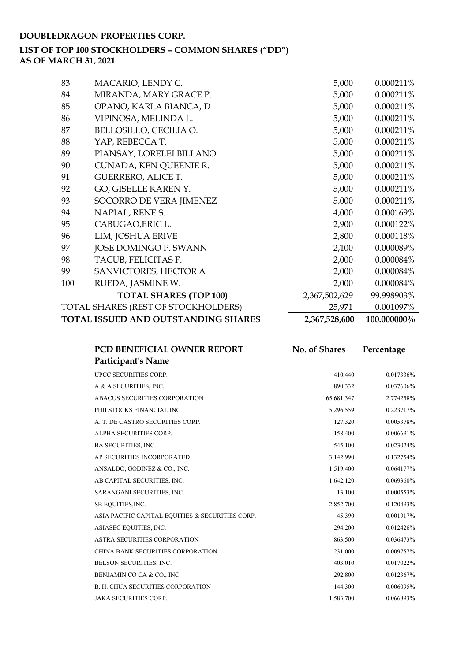### **DOUBLEDRAGON PROPERTIES CORP.**

# **LIST OF TOP 100 STOCKHOLDERS – COMMON SHARES ("DD")**

**AS OF MARCH 31, 2021**

| TOTAL ISSUED AND OUTSTANDING SHARES |                                     | 2,367,528,600 | 100.000000% |
|-------------------------------------|-------------------------------------|---------------|-------------|
|                                     | TOTAL SHARES (REST OF STOCKHOLDERS) | 25,971        | 0.001097%   |
|                                     | <b>TOTAL SHARES (TOP 100)</b>       | 2,367,502,629 | 99.998903%  |
| 100                                 | RUEDA, JASMINE W.                   | 2,000         | 0.000084%   |
| 99                                  | SANVICTORES, HECTOR A               | 2,000         | 0.000084%   |
| 98                                  | TACUB, FELICITAS F.                 | 2,000         | 0.000084%   |
| 97                                  | JOSE DOMINGO P. SWANN               | 2,100         | 0.000089%   |
| 96                                  | LIM, JOSHUA ERIVE                   | 2,800         | 0.000118%   |
| 95                                  | CABUGAO, ERIC L.                    | 2,900         | 0.000122%   |
| 94                                  | NAPIAL, RENE S.                     | 4,000         | 0.000169%   |
| 93                                  | SOCORRO DE VERA JIMENEZ             | 5,000         | 0.000211%   |
| 92                                  | GO, GISELLE KAREN Y.                | 5,000         | 0.000211%   |
| 91                                  | <b>GUERRERO, ALICE T.</b>           | 5,000         | 0.000211%   |
| 90                                  | CUNADA, KEN QUEENIE R.              | 5,000         | 0.000211%   |
| 89                                  | PIANSAY, LORELEI BILLANO            | 5,000         | 0.000211%   |
| 88                                  | YAP, REBECCA T.                     | 5,000         | 0.000211%   |
| 87                                  | BELLOSILLO, CECILIA O.              | 5,000         | 0.000211%   |
| 86                                  | VIPINOSA, MELINDA L.                | 5,000         | 0.000211%   |
| 85                                  | OPANO, KARLA BIANCA, D              | 5,000         | 0.000211%   |
| 84                                  | MIRANDA, MARY GRACE P.              | 5,000         | 0.000211%   |
| 83                                  | MACARIO, LENDY C.                   | 5,000         | 0.000211%   |

| PCD BENEFICIAL OWNER REPORT                      | No. of Shares | Percentage |
|--------------------------------------------------|---------------|------------|
| <b>Participant's Name</b>                        |               |            |
| UPCC SECURITIES CORP.                            | 410,440       | 0.017336%  |
| A & A SECURITIES, INC.                           | 890,332       | 0.037606%  |
| ABACUS SECURITIES CORPORATION                    | 65,681,347    | 2.774258%  |
| PHILSTOCKS FINANCIAL INC                         | 5,296,559     | 0.223717%  |
| A. T. DE CASTRO SECURITIES CORP.                 | 127,320       | 0.005378%  |
| ALPHA SECURITIES CORP.                           | 158,400       | 0.006691%  |
| BA SECURITIES, INC.                              | 545,100       | 0.023024%  |
| AP SECURITIES INCORPORATED                       | 3,142,990     | 0.132754%  |
| ANSALDO, GODINEZ & CO., INC.                     | 1,519,400     | 0.064177%  |
| AB CAPITAL SECURITIES, INC.                      | 1,642,120     | 0.069360%  |
| SARANGANI SECURITIES, INC.                       | 13,100        | 0.000553%  |
| SB EQUITIES, INC.                                | 2,852,700     | 0.120493%  |
| ASIA PACIFIC CAPITAL EQUITIES & SECURITIES CORP. | 45,390        | 0.001917%  |
| ASIASEC EQUITIES, INC.                           | 294,200       | 0.012426%  |
| ASTRA SECURITIES CORPORATION                     | 863,500       | 0.036473%  |
| CHINA BANK SECURITIES CORPORATION                | 231,000       | 0.009757%  |
| BELSON SECURITIES, INC.                          | 403,010       | 0.017022%  |
| BENJAMIN CO CA & CO., INC.                       | 292,800       | 0.012367%  |
| <b>B. H. CHUA SECURITIES CORPORATION</b>         | 144,300       | 0.006095%  |
| <b>JAKA SECURITIES CORP.</b>                     | 1,583,700     | 0.066893%  |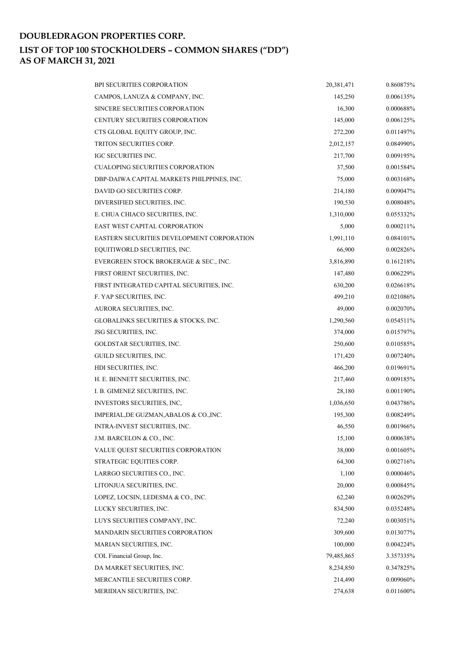## **DOUBLEDRAGON PROPERTIES CORP. LIST OF TOP 100 STOCKHOLDERS – COMMON SHARES ("DD") AS OF MARCH 31, 2021**

| <b>BPI SECURITIES CORPORATION</b>          | 20,381,471 | 0.860875%    |
|--------------------------------------------|------------|--------------|
| CAMPOS, LANUZA & COMPANY, INC.             | 145,250    | 0.006135%    |
| SINCERE SECURITIES CORPORATION             | 16,300     | 0.000688%    |
| CENTURY SECURITIES CORPORATION             | 145,000    | $0.006125\%$ |
| CTS GLOBAL EQUITY GROUP, INC.              | 272,200    | 0.011497%    |
| TRITON SECURITIES CORP.                    | 2,012,157  | 0.084990%    |
| IGC SECURITIES INC.                        | 217,700    | 0.009195%    |
| <b>CUALOPING SECURITIES CORPORATION</b>    | 37,500     | 0.001584%    |
| DBP-DAIWA CAPITAL MARKETS PHILPPINES, INC. | 75,000     | 0.003168%    |
| DAVID GO SECURITIES CORP.                  | 214,180    | 0.009047%    |
| DIVERSIFIED SECURITIES, INC.               | 190,530    | 0.008048%    |
| E. CHUA CHIACO SECURITIES, INC.            | 1,310,000  | 0.055332%    |
| EAST WEST CAPITAL CORPORATION              | 5,000      | 0.000211%    |
| EASTERN SECURITIES DEVELOPMENT CORPORATION | 1,991,110  | $0.084101\%$ |
| EQUITIWORLD SECURITIES, INC.               | 66,900     | 0.002826%    |
| EVERGREEN STOCK BROKERAGE & SEC., INC.     | 3,816,890  | 0.161218%    |
| FIRST ORIENT SECURITIES, INC.              | 147,480    | 0.006229%    |
| FIRST INTEGRATED CAPITAL SECURITIES, INC.  | 630,200    | 0.026618%    |
| F. YAP SECURITIES, INC.                    | 499,210    | 0.021086%    |
| AURORA SECURITIES, INC.                    | 49,000     | 0.002070%    |
| GLOBALINKS SECURITIES & STOCKS, INC.       | 1,290,560  | 0.054511%    |
| JSG SECURITIES, INC.                       | 374,000    | 0.015797%    |
| GOLDSTAR SECURITIES, INC.                  | 250,600    | 0.010585%    |
| GUILD SECURITIES, INC.                     | 171,420    | 0.007240%    |
| HDI SECURITIES, INC.                       | 466,200    | 0.019691%    |
| H. E. BENNETT SECURITIES, INC.             | 217,460    | 0.009185%    |
| I. B. GIMENEZ SECURITIES, INC.             | 28,180     | 0.001190%    |
| INVESTORS SECURITIES, INC,                 | 1,036,650  | 0.043786%    |
| IMPERIAL, DE GUZMAN, ABALOS & CO., INC.    | 195,300    | 0.008249%    |
| INTRA-INVEST SECURITIES, INC.              | 46,550     | 0.001966%    |
| J.M. BARCELON & CO., INC.                  | 15,100     | 0.000638%    |
| VALUE QUEST SECURITIES CORPORATION         | 38,000     | 0.001605%    |
| STRATEGIC EQUITIES CORP.                   | 64,300     | 0.002716%    |
| LARRGO SECURITIES CO., INC.                | 1,100      | 0.000046%    |
| LITONJUA SECURITIES, INC.                  | 20,000     | 0.000845%    |
| LOPEZ, LOCSIN, LEDESMA & CO., INC.         | 62,240     | 0.002629%    |
| LUCKY SECURITIES, INC.                     | 834,500    | 0.035248%    |
| LUYS SECURITIES COMPANY, INC.              | 72,240     | 0.003051%    |
| <b>MANDARIN SECURITIES CORPORATION</b>     | 309,600    | 0.013077%    |
| MARIAN SECURITIES, INC.                    | 100,000    | 0.004224%    |
| COL Financial Group, Inc.                  | 79,485,865 | 3.357335%    |
| DA MARKET SECURITIES, INC.                 | 8,234,850  | 0.347825%    |
| MERCANTILE SECURITIES CORP.                | 214,490    | 0.009060%    |
| MERIDIAN SECURITIES, INC.                  | 274,638    | 0.011600%    |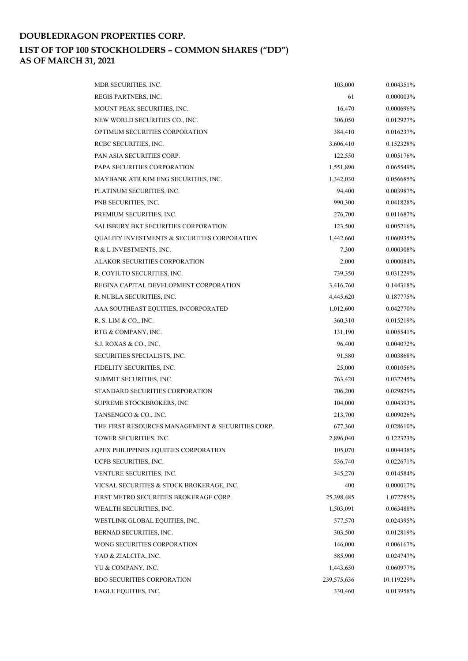### **DOUBLEDRAGON PROPERTIES CORP. LIST OF TOP 100 STOCKHOLDERS – COMMON SHARES ("DD") AS OF MARCH 31, 2021**

| MDR SECURITIES, INC.                              | 103,000     | 0.004351%    |
|---------------------------------------------------|-------------|--------------|
| REGIS PARTNERS, INC.                              | 61          | 0.000003%    |
| MOUNT PEAK SECURITIES, INC.                       | 16,470      | 0.000696%    |
| NEW WORLD SECURITIES CO., INC.                    | 306,050     | 0.012927%    |
| OPTIMUM SECURITIES CORPORATION                    | 384,410     | 0.016237%    |
| RCBC SECURITIES, INC.                             | 3,606,410   | 0.152328%    |
| PAN ASIA SECURITIES CORP.                         | 122,550     | 0.005176%    |
| PAPA SECURITIES CORPORATION                       | 1,551,890   | 0.065549%    |
| MAYBANK ATR KIM ENG SECURITIES, INC.              | 1,342,030   | 0.056685%    |
| PLATINUM SECURITIES, INC.                         | 94,400      | 0.003987%    |
| PNB SECURITIES, INC.                              | 990,300     | 0.041828%    |
| PREMIUM SECURITIES, INC.                          | 276,700     | 0.011687%    |
| <b>SALISBURY BKT SECURITIES CORPORATION</b>       | 123,500     | 0.005216%    |
| QUALITY INVESTMENTS & SECURITIES CORPORATION      | 1,442,660   | 0.060935%    |
| R & L INVESTMENTS, INC.                           | 7,300       | 0.000308%    |
| ALAKOR SECURITIES CORPORATION                     | 2,000       | $0.000084\%$ |
| R. COYIUTO SECURITIES, INC.                       | 739,350     | 0.031229%    |
| REGINA CAPITAL DEVELOPMENT CORPORATION            | 3,416,760   | 0.144318%    |
| R. NUBLA SECURITIES, INC.                         | 4,445,620   | 0.187775%    |
| AAA SOUTHEAST EQUITIES, INCORPORATED              | 1,012,600   | 0.042770%    |
| R. S. LIM & CO., INC.                             | 360,310     | 0.015219%    |
| RTG & COMPANY, INC.                               | 131,190     | 0.005541%    |
| S.J. ROXAS & CO., INC.                            | 96,400      | 0.004072%    |
| SECURITIES SPECIALISTS, INC.                      | 91,580      | 0.003868%    |
| FIDELITY SECURITIES, INC.                         | 25,000      | 0.001056%    |
| SUMMIT SECURITIES, INC.                           | 763,420     | 0.032245%    |
| STANDARD SECURITIES CORPORATION                   | 706,200     | 0.029829%    |
| SUPREME STOCKBROKERS, INC                         | 104,000     | 0.004393%    |
| TANSENGCO & CO., INC.                             | 213,700     | 0.009026%    |
| THE FIRST RESOURCES MANAGEMENT & SECURITIES CORP. | 677,360     | 0.028610%    |
| TOWER SECURITIES, INC.                            | 2,896,040   | 0.122323%    |
| APEX PHILIPPINES EQUITIES CORPORATION             | 105,070     | 0.004438%    |
| UCPB SECURITIES, INC.                             | 536,740     | 0.022671%    |
| VENTURE SECURITIES, INC.                          | 345,270     | $0.014584\%$ |
| VICSAL SECURITIES & STOCK BROKERAGE, INC.         | 400         | $0.000017\%$ |
| FIRST METRO SECURITIES BROKERAGE CORP.            | 25,398,485  | 1.072785%    |
| WEALTH SECURITIES, INC.                           | 1,503,091   | 0.063488%    |
| WESTLINK GLOBAL EQUITIES, INC.                    | 577,570     | 0.024395%    |
| BERNAD SECURITIES, INC.                           | 303,500     | 0.012819%    |
| WONG SECURITIES CORPORATION                       | 146,000     | 0.006167%    |
| YAO & ZIALCITA, INC.                              | 585,900     | 0.024747%    |
| YU & COMPANY, INC.                                | 1,443,650   | 0.060977%    |
| <b>BDO SECURITIES CORPORATION</b>                 | 239,575,636 | 10.119229%   |
| EAGLE EQUITIES, INC.                              | 330,460     | 0.013958%    |